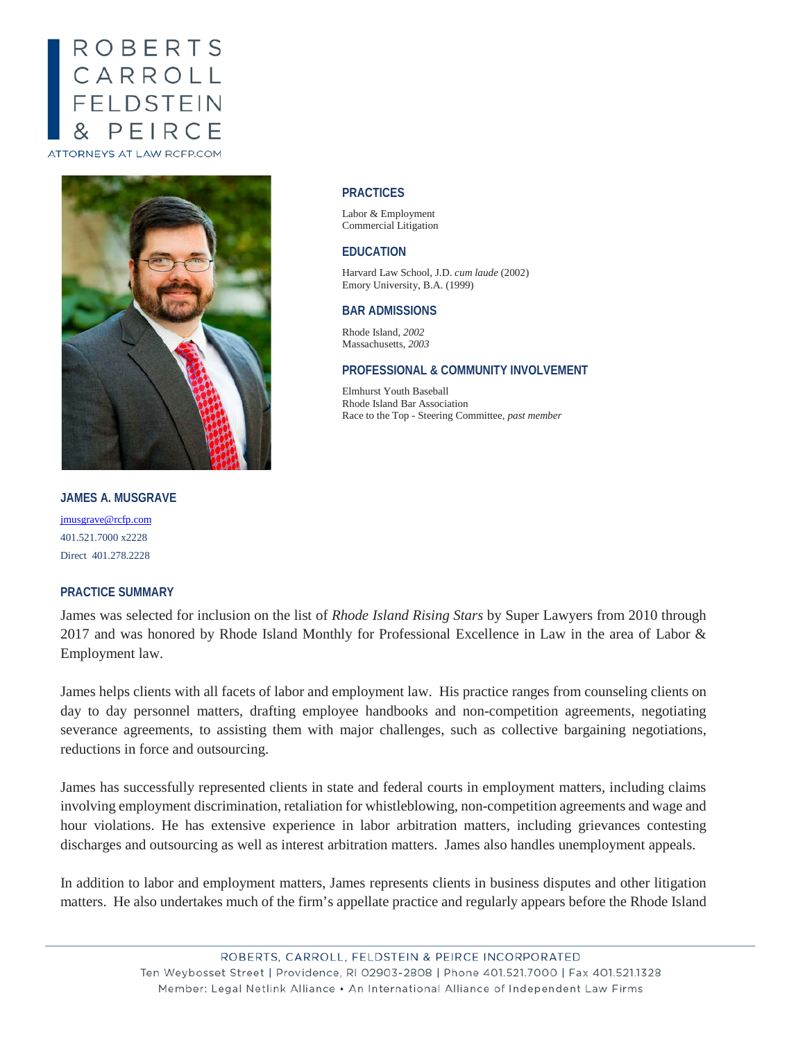# ROBERTS CARROLL<br>FELDSTEIN PEIRC **ATTORNEYS AT LAW RCFP.COM**



#### **PRACTICES**

Labor & Employment Commercial Litigation

#### **EDUCATION**

Harvard Law School, J.D. *cum laude* (2002) Emory University, B.A. (1999)

#### **BAR ADMISSIONS**

Rhode Island, *2002* Massachusetts, *2003*

## **PROFESSIONAL & COMMUNITY INVOLVEMENT**

Elmhurst Youth Baseball Rhode Island Bar Association Race to the Top - Steering Committee, *past member*

## **JAMES A. MUSGRAVE**

[jmusgrave@rcfp.com](mailto:jmusgrave@rcfp.com) 401.521.7000 x2228 Direct 401.278.2228

### **PRACTICE SUMMARY**

James was selected for inclusion on the list of *Rhode Island Rising Stars* by Super Lawyers from 2010 through 2017 and was honored by Rhode Island Monthly for Professional Excellence in Law in the area of Labor & Employment law.

James helps clients with all facets of labor and employment law. His practice ranges from counseling clients on day to day personnel matters, drafting employee handbooks and non-competition agreements, negotiating severance agreements, to assisting them with major challenges, such as collective bargaining negotiations, reductions in force and outsourcing.

James has successfully represented clients in state and federal courts in employment matters, including claims involving employment discrimination, retaliation for whistleblowing, non-competition agreements and wage and hour violations. He has extensive experience in labor arbitration matters, including grievances contesting discharges and outsourcing as well as interest arbitration matters. James also handles unemployment appeals.

In addition to labor and employment matters, James represents clients in business disputes and other litigation matters. He also undertakes much of the firm's appellate practice and regularly appears before the Rhode Island